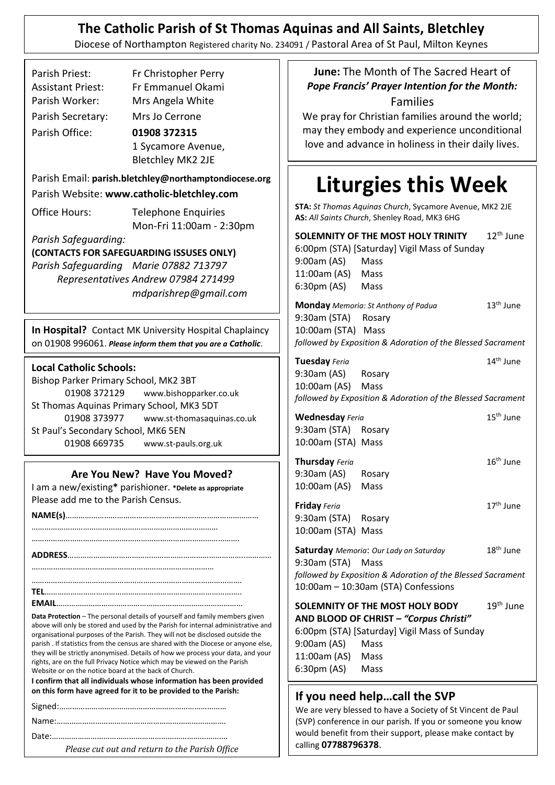# **The Catholic Parish of St Thomas Aquinas and All Saints, Bletchley**

Diocese of Northampton Registered charity No. 234091 / Pastoral Area of St Paul, Milton Keynes

|                                                                                                                        | Parish Priest:<br>Assistant Priest:<br>Parish Worker:<br>Parish Secretary:<br>Parish Office: | Fr Christopher Perry<br>Fr Emmanuel Okami<br>Mrs Angela White<br>Mrs Jo Cerrone<br>01908 372315 |  |  |
|------------------------------------------------------------------------------------------------------------------------|----------------------------------------------------------------------------------------------|-------------------------------------------------------------------------------------------------|--|--|
|                                                                                                                        |                                                                                              | 1 Sycamore Avenue,<br>Bletchley MK2 2JE                                                         |  |  |
| Parish Email: parish.bletchley@northamptondiocese.org<br>Parish Website: www.catholic-bletchley.com                    |                                                                                              |                                                                                                 |  |  |
|                                                                                                                        |                                                                                              |                                                                                                 |  |  |
|                                                                                                                        | Parish Safeguarding:                                                                         |                                                                                                 |  |  |
| (CONTACTS FOR SAFEGUARDING ISSUSES ONLY)                                                                               |                                                                                              |                                                                                                 |  |  |
|                                                                                                                        |                                                                                              | Parish Safeguarding Marie 07882 713797                                                          |  |  |
|                                                                                                                        | Representatives Andrew 07984 271499                                                          |                                                                                                 |  |  |
|                                                                                                                        |                                                                                              | mdparishrep@gmail.com                                                                           |  |  |
| In Hospital? Contact MK University Hospital Chaplaincy<br>on 01908 996061. Please inform them that you are a Catholic. |                                                                                              |                                                                                                 |  |  |
| <b>Local Catholic Schools:</b><br>Bishop Parker Primary School, MK2 3BT                                                |                                                                                              |                                                                                                 |  |  |

01908 372129 www.bishopparker.co.uk St Thomas Aquinas Primary School, MK3 5DT 01908 373977 www.st-thomasaquinas.co.uk St Paul's Secondary School, MK6 5EN 01908 669735 www.st-pauls.org.uk

#### **Are You New? Have You Moved?**

I am a new/existing**\*** parishioner. **\*Delete as appropriate** Please add me to the Parish Census.

**NAME(s)**……………………………………………………………………………… …………………………………………………………………………… ……………………………………………………………………………………. **ADDRESS**………………………………………………………………………..………… ….……………………………………………………………………… …………….………………………………………………………………………. **TEL**……………………………………………………………………………….. **EMAIL**……………………………………………………………………………

**Data Protection** – The personal details of yourself and family members given above will only be stored and used by the Parish for internal administrative and organisational purposes of the Parish. They will not be disclosed outside the parish . If statistics from the census are shared with the Diocese or anyone else, they will be strictly anonymised. Details of how we process your data, and your rights, are on the full Privacy Notice which may be viewed on the Parish Website or on the notice board at the back of Church.

**I confirm that all individuals whose information has been provided on this form have agreed for it to be provided to the Parish:**

Date:……………………………………………………………………….

*Please cut out and return to the Parish Office*

**June:** The Month of The Sacred Heart of *Pope Francis' Prayer Intention for the Month:* Families

We pray for Christian families around the world; may they embody and experience unconditional love and advance in holiness in their daily lives.

# **Liturgies this Week**

**STA:** *St Thomas Aquinas Church*, Sycamore Avenue, MK2 2JE **AS:** *All Saints Church*, Shenley Road, MK3 6HG

| $12th$ June<br>SOLEMNITY OF THE MOST HOLY TRINITY<br>6:00pm (STA) [Saturday] Vigil Mass of Sunday |                                                             |                       |  |
|---------------------------------------------------------------------------------------------------|-------------------------------------------------------------|-----------------------|--|
| 9:00am (AS) Mass                                                                                  |                                                             |                       |  |
| 11:00am (AS) Mass                                                                                 |                                                             |                       |  |
| 6:30pm (AS) Mass                                                                                  |                                                             |                       |  |
|                                                                                                   | <b>Monday</b> Memoria: St Anthony of Padua                  | $13th$ June           |  |
| 9:30am (STA) Rosary                                                                               |                                                             |                       |  |
| 10:00am (STA) Mass                                                                                |                                                             |                       |  |
| followed by Exposition & Adoration of the Blessed Sacrament                                       |                                                             |                       |  |
| Tuesday Feria                                                                                     |                                                             | 14 <sup>th</sup> June |  |
| 9:30am (AS) Rosary                                                                                |                                                             |                       |  |
| 10:00am (AS) Mass                                                                                 |                                                             |                       |  |
|                                                                                                   | followed by Exposition & Adoration of the Blessed Sacrament |                       |  |
| <b>Wednesday Feria</b>                                                                            |                                                             | 15 <sup>th</sup> June |  |
| 9:30am (STA) Rosary                                                                               |                                                             |                       |  |
| 10:00am (STA) Mass                                                                                |                                                             |                       |  |
| Thursday Feria                                                                                    |                                                             | $16th$ June           |  |
| 9:30am (AS) Rosary                                                                                |                                                             |                       |  |
| 10:00am (AS) Mass                                                                                 |                                                             |                       |  |
| Friday Feria                                                                                      |                                                             | 17 <sup>th</sup> June |  |
| 9:30am (STA) Rosary                                                                               |                                                             |                       |  |
| 10:00am (STA) Mass                                                                                |                                                             |                       |  |
|                                                                                                   | Saturday Memoria: Our Lady on Saturday                      | 18 <sup>th</sup> June |  |
| 9:30am (STA) Mass                                                                                 |                                                             |                       |  |
| followed by Exposition & Adoration of the Blessed Sacrament                                       |                                                             |                       |  |
| 10:00am - 10:30am (STA) Confessions                                                               |                                                             |                       |  |
|                                                                                                   | SOLEMNITY OF THE MOST HOLY BODY                             | 19 <sup>th</sup> June |  |
| AND BLOOD OF CHRIST - "Corpus Christi"                                                            |                                                             |                       |  |
| 6:00pm (STA) [Saturday] Vigil Mass of Sunday                                                      |                                                             |                       |  |
| 9:00am (AS) Mass                                                                                  |                                                             |                       |  |
| 11:00am (AS) Mass                                                                                 |                                                             |                       |  |
| 6:30pm (AS) Mass                                                                                  |                                                             |                       |  |
|                                                                                                   |                                                             |                       |  |

#### **If you need help…call the SVP**

We are very blessed to have a Society of St Vincent de Paul (SVP) conference in our parish. If you or someone you know would benefit from their support, please make contact by calling **07788796378**.